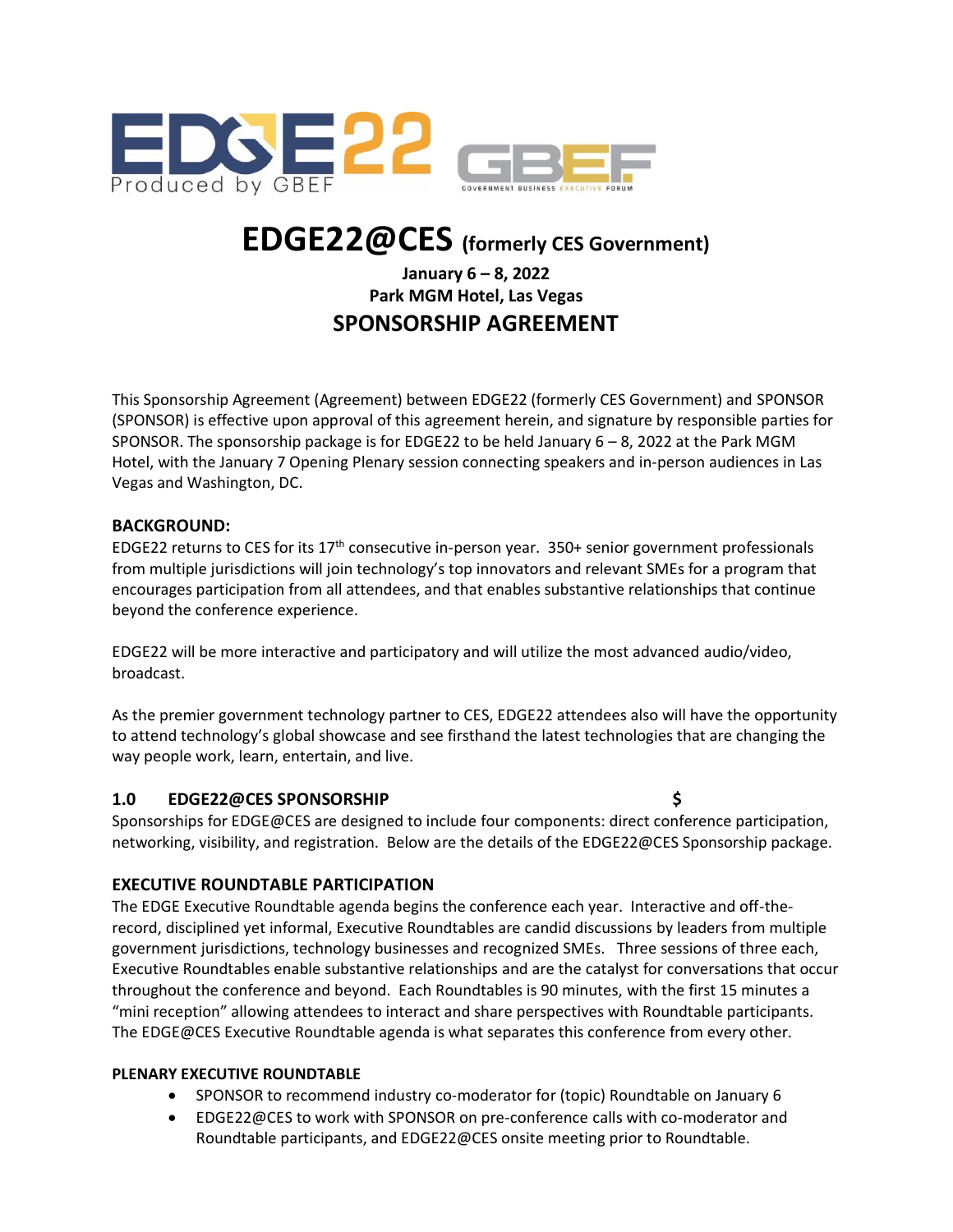

# **EDGE22@CES (formerly CES Government)**

## **January 6 – 8, 2022 Park MGM Hotel, Las Vegas SPONSORSHIP AGREEMENT**

This Sponsorship Agreement (Agreement) between EDGE22 (formerly CES Government) and SPONSOR (SPONSOR) is effective upon approval of this agreement herein, and signature by responsible parties for SPONSOR. The sponsorship package is for EDGE22 to be held January 6 – 8, 2022 at the Park MGM Hotel, with the January 7 Opening Plenary session connecting speakers and in-person audiences in Las Vegas and Washington, DC.

#### **BACKGROUND:**

EDGE22 returns to CES for its 17<sup>th</sup> consecutive in-person year. 350+ senior government professionals from multiple jurisdictions will join technology's top innovators and relevant SMEs for a program that encourages participation from all attendees, and that enables substantive relationships that continue beyond the conference experience.

EDGE22 will be more interactive and participatory and will utilize the most advanced audio/video, broadcast.

As the premier government technology partner to CES, EDGE22 attendees also will have the opportunity to attend technology's global showcase and see firsthand the latest technologies that are changing the way people work, learn, entertain, and live.

#### **1.0 EDGE22@CES SPONSORSHIP \$**

Sponsorships for EDGE@CES are designed to include four components: direct conference participation, networking, visibility, and registration. Below are the details of the EDGE22@CES Sponsorship package.

#### **EXECUTIVE ROUNDTABLE PARTICIPATION**

The EDGE Executive Roundtable agenda begins the conference each year. Interactive and off-therecord, disciplined yet informal, Executive Roundtables are candid discussions by leaders from multiple government jurisdictions, technology businesses and recognized SMEs. Three sessions of three each, Executive Roundtables enable substantive relationships and are the catalyst for conversations that occur throughout the conference and beyond. Each Roundtables is 90 minutes, with the first 15 minutes a "mini reception" allowing attendees to interact and share perspectives with Roundtable participants. The EDGE@CES Executive Roundtable agenda is what separates this conference from every other.

#### **PLENARY EXECUTIVE ROUNDTABLE**

- SPONSOR to recommend industry co-moderator for (topic) Roundtable on January 6
- EDGE22@CES to work with SPONSOR on pre-conference calls with co-moderator and Roundtable participants, and EDGE22@CES onsite meeting prior to Roundtable.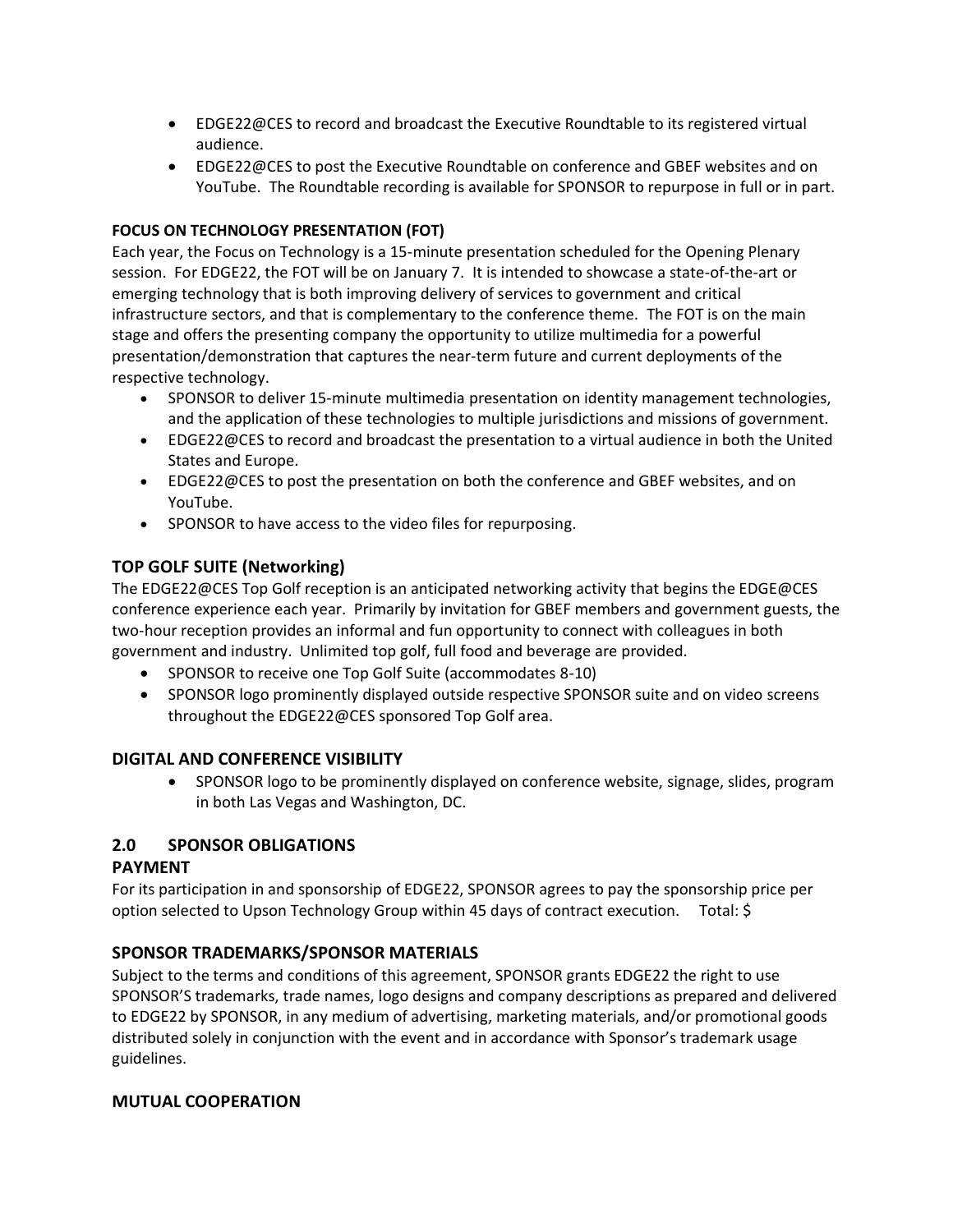- EDGE22@CES to record and broadcast the Executive Roundtable to its registered virtual audience.
- EDGE22@CES to post the Executive Roundtable on conference and GBEF websites and on YouTube. The Roundtable recording is available for SPONSOR to repurpose in full or in part.

#### **FOCUS ON TECHNOLOGY PRESENTATION (FOT)**

Each year, the Focus on Technology is a 15-minute presentation scheduled for the Opening Plenary session. For EDGE22, the FOT will be on January 7. It is intended to showcase a state-of-the-art or emerging technology that is both improving delivery of services to government and critical infrastructure sectors, and that is complementary to the conference theme. The FOT is on the main stage and offers the presenting company the opportunity to utilize multimedia for a powerful presentation/demonstration that captures the near-term future and current deployments of the respective technology.

- SPONSOR to deliver 15-minute multimedia presentation on identity management technologies, and the application of these technologies to multiple jurisdictions and missions of government.
- EDGE22@CES to record and broadcast the presentation to a virtual audience in both the United States and Europe.
- EDGE22@CES to post the presentation on both the conference and GBEF websites, and on YouTube.
- SPONSOR to have access to the video files for repurposing.

## **TOP GOLF SUITE (Networking)**

The EDGE22@CES Top Golf reception is an anticipated networking activity that begins the EDGE@CES conference experience each year. Primarily by invitation for GBEF members and government guests, the two-hour reception provides an informal and fun opportunity to connect with colleagues in both government and industry. Unlimited top golf, full food and beverage are provided.

- SPONSOR to receive one Top Golf Suite (accommodates 8-10)
- SPONSOR logo prominently displayed outside respective SPONSOR suite and on video screens throughout the EDGE22@CES sponsored Top Golf area.

#### **DIGITAL AND CONFERENCE VISIBILITY**

• SPONSOR logo to be prominently displayed on conference website, signage, slides, program in both Las Vegas and Washington, DC.

#### **2.0 SPONSOR OBLIGATIONS**

#### **PAYMENT**

For its participation in and sponsorship of EDGE22, SPONSOR agrees to pay the sponsorship price per option selected to Upson Technology Group within 45 days of contract execution. Total: \$

#### **SPONSOR TRADEMARKS/SPONSOR MATERIALS**

Subject to the terms and conditions of this agreement, SPONSOR grants EDGE22 the right to use SPONSOR'S trademarks, trade names, logo designs and company descriptions as prepared and delivered to EDGE22 by SPONSOR, in any medium of advertising, marketing materials, and/or promotional goods distributed solely in conjunction with the event and in accordance with Sponsor's trademark usage guidelines.

#### **MUTUAL COOPERATION**